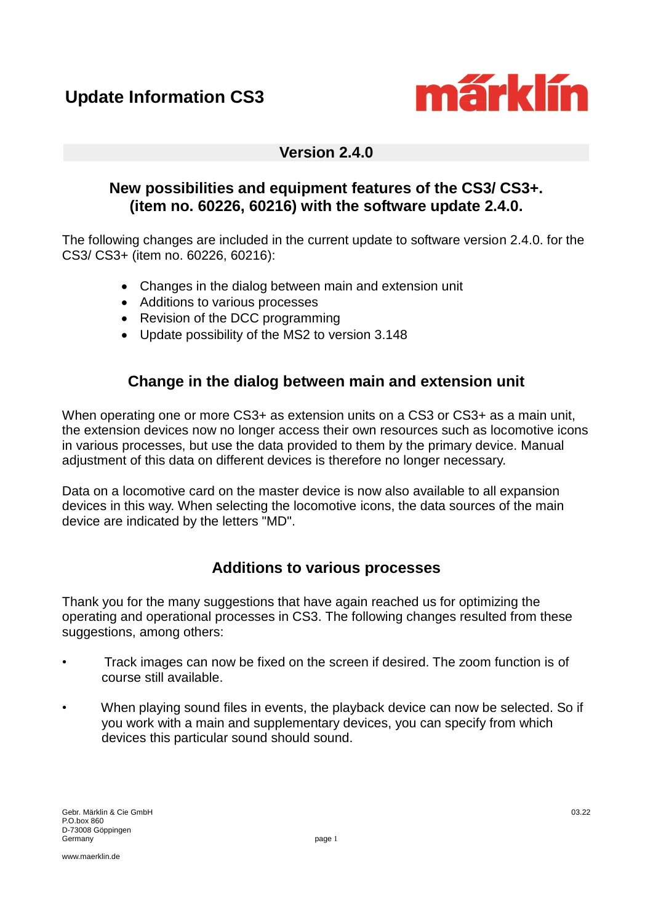

### **Version 2.4.0**

#### **New possibilities and equipment features of the CS3/ CS3+. (item no. 60226, 60216) with the software update 2.4.0.**

The following changes are included in the current update to software version 2.4.0. for the CS3/ CS3+ (item no. 60226, 60216):

- Changes in the dialog between main and extension unit
- Additions to various processes
- Revision of the DCC programming
- Update possibility of the MS2 to version 3.148

### **Change in the dialog between main and extension unit**

When operating one or more CS3+ as extension units on a CS3 or CS3+ as a main unit, the extension devices now no longer access their own resources such as locomotive icons in various processes, but use the data provided to them by the primary device. Manual adjustment of this data on different devices is therefore no longer necessary.

Data on a locomotive card on the master device is now also available to all expansion devices in this way. When selecting the locomotive icons, the data sources of the main device are indicated by the letters "MD".

## **Additions to various processes**

Thank you for the many suggestions that have again reached us for optimizing the operating and operational processes in CS3. The following changes resulted from these suggestions, among others:

- Track images can now be fixed on the screen if desired. The zoom function is of course still available.
- When playing sound files in events, the playback device can now be selected. So if you work with a main and supplementary devices, you can specify from which devices this particular sound should sound.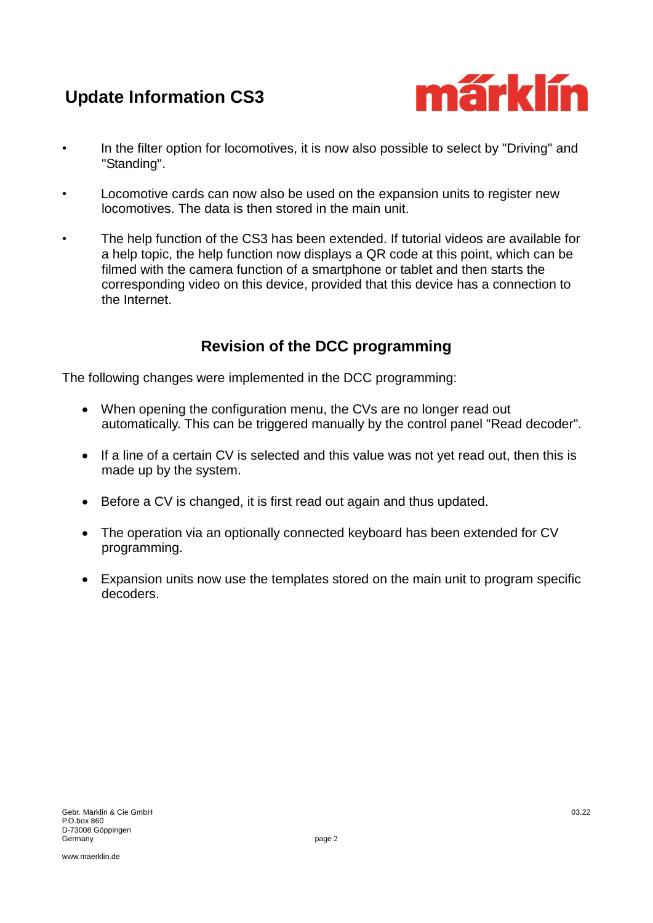# **Update Information CS3**



- In the filter option for locomotives, it is now also possible to select by "Driving" and "Standing".
- Locomotive cards can now also be used on the expansion units to register new locomotives. The data is then stored in the main unit.
- The help function of the CS3 has been extended. If tutorial videos are available for a help topic, the help function now displays a QR code at this point, which can be filmed with the camera function of a smartphone or tablet and then starts the corresponding video on this device, provided that this device has a connection to the Internet.

# **Revision of the DCC programming**

The following changes were implemented in the DCC programming:

- When opening the configuration menu, the CVs are no longer read out automatically. This can be triggered manually by the control panel "Read decoder".
- If a line of a certain CV is selected and this value was not vet read out, then this is made up by the system.
- Before a CV is changed, it is first read out again and thus updated.
- The operation via an optionally connected keyboard has been extended for CV programming.
- Expansion units now use the templates stored on the main unit to program specific decoders.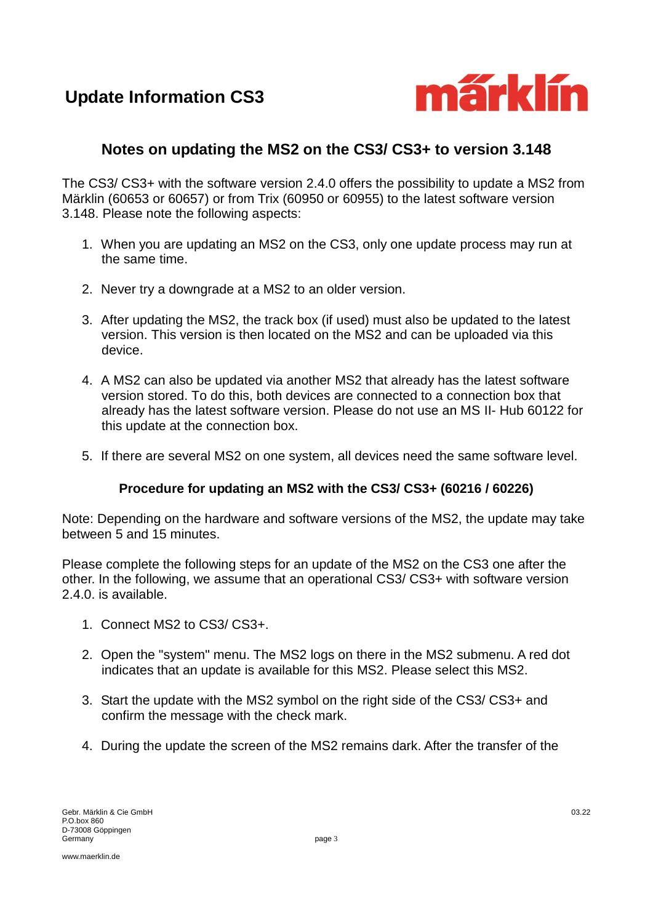**Update Information CS3**



### **Notes on updating the MS2 on the CS3/ CS3+ to version 3.148**

The CS3/ CS3+ with the software version 2.4.0 offers the possibility to update a MS2 from Märklin (60653 or 60657) or from Trix (60950 or 60955) to the latest software version 3.148. Please note the following aspects:

- 1. When you are updating an MS2 on the CS3, only one update process may run at the same time.
- 2. Never try a downgrade at a MS2 to an older version.
- 3. After updating the MS2, the track box (if used) must also be updated to the latest version. This version is then located on the MS2 and can be uploaded via this device.
- 4. A MS2 can also be updated via another MS2 that already has the latest software version stored. To do this, both devices are connected to a connection box that already has the latest software version. Please do not use an MS II- Hub 60122 for this update at the connection box.
- 5. If there are several MS2 on one system, all devices need the same software level.

#### **Procedure for updating an MS2 with the CS3/ CS3+ (60216 / 60226)**

Note: Depending on the hardware and software versions of the MS2, the update may take between 5 and 15 minutes.

Please complete the following steps for an update of the MS2 on the CS3 one after the other. In the following, we assume that an operational CS3/ CS3+ with software version 2.4.0. is available.

- 1. Connect MS2 to CS3/ CS3+.
- 2. Open the "system" menu. The MS2 logs on there in the MS2 submenu. A red dot indicates that an update is available for this MS2. Please select this MS2.
- 3. Start the update with the MS2 symbol on the right side of the CS3/ CS3+ and confirm the message with the check mark.
- 4. During the update the screen of the MS2 remains dark. After the transfer of the